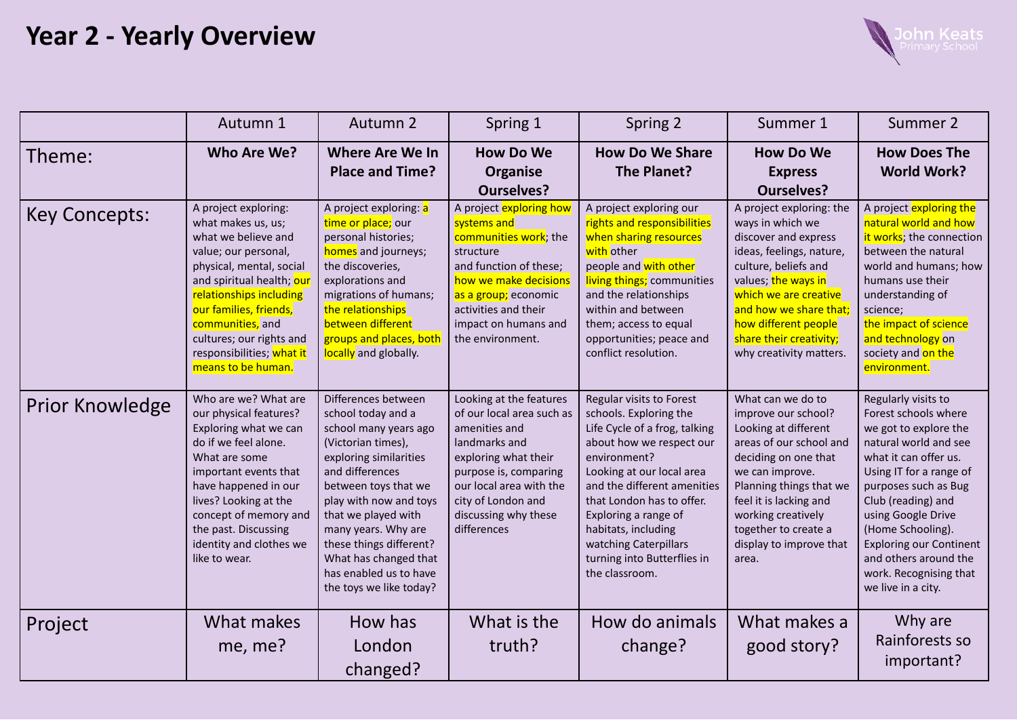## **Year 2 - Yearly Overview**



|                      | Autumn 1                                                                                                                                                                                                                                                                                                   | Autumn 2                                                                                                                                                                                                                                                                                                                                       | Spring 1                                                                                                                                                                                                                        | Spring 2                                                                                                                                                                                                                                                                                                                                          | Summer 1                                                                                                                                                                                                                                                                         | Summer 2                                                                                                                                                                                                                                                                                                                                              |
|----------------------|------------------------------------------------------------------------------------------------------------------------------------------------------------------------------------------------------------------------------------------------------------------------------------------------------------|------------------------------------------------------------------------------------------------------------------------------------------------------------------------------------------------------------------------------------------------------------------------------------------------------------------------------------------------|---------------------------------------------------------------------------------------------------------------------------------------------------------------------------------------------------------------------------------|---------------------------------------------------------------------------------------------------------------------------------------------------------------------------------------------------------------------------------------------------------------------------------------------------------------------------------------------------|----------------------------------------------------------------------------------------------------------------------------------------------------------------------------------------------------------------------------------------------------------------------------------|-------------------------------------------------------------------------------------------------------------------------------------------------------------------------------------------------------------------------------------------------------------------------------------------------------------------------------------------------------|
| Theme:               | Who Are We?                                                                                                                                                                                                                                                                                                | <b>Where Are We In</b><br><b>Place and Time?</b>                                                                                                                                                                                                                                                                                               | <b>How Do We</b><br>Organise<br><b>Ourselves?</b>                                                                                                                                                                               | <b>How Do We Share</b><br>The Planet?                                                                                                                                                                                                                                                                                                             | <b>How Do We</b><br><b>Express</b><br><b>Ourselves?</b>                                                                                                                                                                                                                          | <b>How Does The</b><br><b>World Work?</b>                                                                                                                                                                                                                                                                                                             |
| <b>Key Concepts:</b> | A project exploring:<br>what makes us, us;<br>what we believe and<br>value; our personal,<br>physical, mental, social<br>and spiritual health; our<br>relationships including<br>our families, friends,<br>communities, and<br>cultures; our rights and<br>responsibilities; what it<br>means to be human. | A project exploring: a<br>time or place; our<br>personal histories;<br>homes and journeys;<br>the discoveries,<br>explorations and<br>migrations of humans;<br>the relationships<br>between different<br>groups and places, both<br>locally and globally.                                                                                      | A project exploring how<br>systems and<br>communities work; the<br>structure<br>and function of these;<br>how we make decisions<br>as a group; economic<br>activities and their<br>impact on humans and<br>the environment.     | A project exploring our<br>rights and responsibilities<br>when sharing resources<br>with other<br>people and with other<br>living things; communities<br>and the relationships<br>within and between<br>them; access to equal<br>opportunities; peace and<br>conflict resolution.                                                                 | A project exploring: the<br>ways in which we<br>discover and express<br>ideas, feelings, nature,<br>culture, beliefs and<br>values; the ways in<br>which we are creative<br>and how we share that:<br>how different people<br>share their creativity;<br>why creativity matters. | A project exploring the<br>natural world and how<br>it works; the connection<br>between the natural<br>world and humans; how<br>humans use their<br>understanding of<br>science;<br>the impact of science<br>and technology on<br>society and on the<br>environment.                                                                                  |
| Prior Knowledge      | Who are we? What are<br>our physical features?<br>Exploring what we can<br>do if we feel alone.<br>What are some<br>important events that<br>have happened in our<br>lives? Looking at the<br>concept of memory and<br>the past. Discussing<br>identity and clothes we<br>like to wear.                    | Differences between<br>school today and a<br>school many years ago<br>(Victorian times),<br>exploring similarities<br>and differences<br>between toys that we<br>play with now and toys<br>that we played with<br>many years. Why are<br>these things different?<br>What has changed that<br>has enabled us to have<br>the toys we like today? | Looking at the features<br>of our local area such as<br>amenities and<br>landmarks and<br>exploring what their<br>purpose is, comparing<br>our local area with the<br>city of London and<br>discussing why these<br>differences | Regular visits to Forest<br>schools. Exploring the<br>Life Cycle of a frog, talking<br>about how we respect our<br>environment?<br>Looking at our local area<br>and the different amenities<br>that London has to offer.<br>Exploring a range of<br>habitats, including<br>watching Caterpillars<br>turning into Butterflies in<br>the classroom. | What can we do to<br>improve our school?<br>Looking at different<br>areas of our school and<br>deciding on one that<br>we can improve.<br>Planning things that we<br>feel it is lacking and<br>working creatively<br>together to create a<br>display to improve that<br>area.    | Regularly visits to<br>Forest schools where<br>we got to explore the<br>natural world and see<br>what it can offer us.<br>Using IT for a range of<br>purposes such as Bug<br>Club (reading) and<br>using Google Drive<br>(Home Schooling).<br><b>Exploring our Continent</b><br>and others around the<br>work. Recognising that<br>we live in a city. |
| Project              | What makes<br>me, me?                                                                                                                                                                                                                                                                                      | How has<br>London<br>changed?                                                                                                                                                                                                                                                                                                                  | What is the<br>truth?                                                                                                                                                                                                           | How do animals<br>change?                                                                                                                                                                                                                                                                                                                         | What makes a<br>good story?                                                                                                                                                                                                                                                      | Why are<br>Rainforests so<br>important?                                                                                                                                                                                                                                                                                                               |